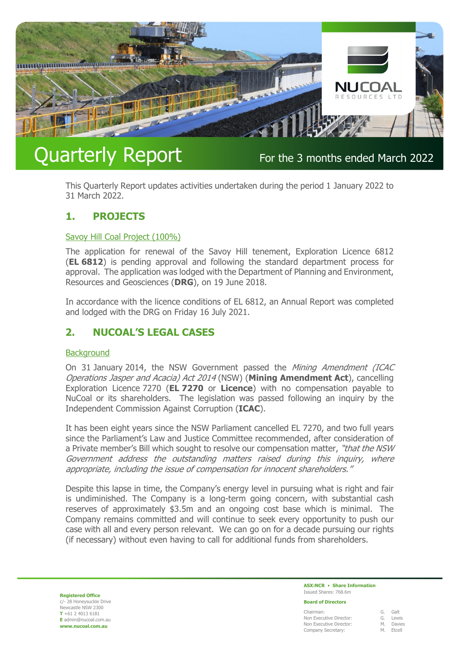

# Quarterly Report For the 3 months ended March 2022

This Quarterly Report updates activities undertaken during the period 1 January 2022 to 31 March 2022.

## **1. PROJECTS**

## Savoy Hill Coal Project (100%)

The application for renewal of the Savoy Hill tenement, Exploration Licence 6812 (**EL 6812**) is pending approval and following the standard department process for approval. The application was lodged with the Department of Planning and Environment, Resources and Geosciences (**DRG**), on 19 June 2018.

In accordance with the licence conditions of EL 6812, an Annual Report was completed and lodged with the DRG on Friday 16 July 2021.

## **2. NUCOAL'S LEGAL CASES**

## **Background**

On 31 January 2014, the NSW Government passed the Mining Amendment (ICAC Operations Jasper and Acacia) Act 2014 (NSW) (**Mining Amendment Act**), cancelling Exploration Licence 7270 (**EL 7270** or **Licence**) with no compensation payable to NuCoal or its shareholders. The legislation was passed following an inquiry by the Independent Commission Against Corruption (**ICAC**).

It has been eight years since the NSW Parliament cancelled EL 7270, and two full years since the Parliament's Law and Justice Committee recommended, after consideration of a Private member's Bill which sought to resolve our compensation matter, "that the NSW Government address the outstanding matters raised during this inquiry, where appropriate, including the issue of compensation for innocent shareholders."

Despite this lapse in time, the Company's energy level in pursuing what is right and fair is undiminished. The Company is a long-term going concern, with substantial cash reserves of approximately \$3.5m and an ongoing cost base which is minimal. The Company remains committed and will continue to seek every opportunity to push our case with all and every person relevant. We can go on for a decade pursuing our rights (if necessary) without even having to call for additional funds from shareholders.

**Registered Office** c/- 28 Honeysuckle Drive Newcastle NSW 2300 **T** +61 2 4013 6181

**E** admin@nucoal.com.au **www.nucoal.com.au**

**ASX:NCR** • **Share Information**  Issued Shares: 768.6m

#### **Board of Directors**

| Chairman:               |    | G. Galt |
|-------------------------|----|---------|
| Non Executive Director: | G. | Lewis   |
| Non Executive Director: | M  | Davies  |
| Company Secretary:      | M. | Etcell  |
|                         |    |         |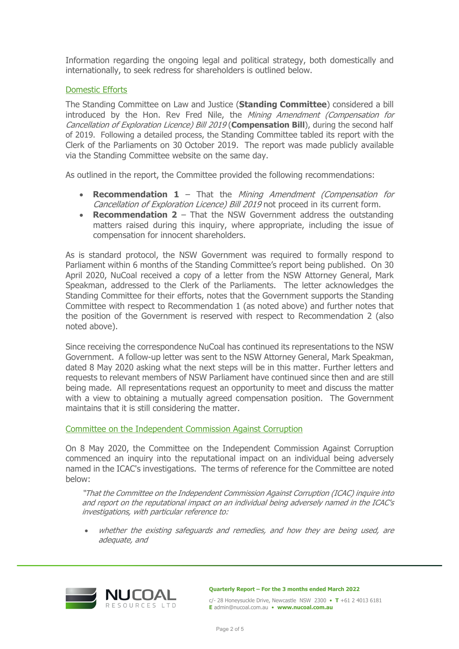Information regarding the ongoing legal and political strategy, both domestically and internationally, to seek redress for shareholders is outlined below.

## Domestic Efforts

The Standing Committee on Law and Justice (**Standing Committee**) considered a bill introduced by the Hon. Rev Fred Nile, the Mining Amendment (Compensation for Cancellation of Exploration Licence) Bill 2019 (**Compensation Bill**), during the second half of 2019. Following a detailed process, the Standing Committee tabled its report with the Clerk of the Parliaments on 30 October 2019. The report was made publicly available via the Standing Committee website on the same day.

As outlined in the report, the Committee provided the following recommendations:

- **Recommendation 1** That the Mining Amendment (Compensation for Cancellation of Exploration Licence) Bill 2019 not proceed in its current form.
- **Recommendation 2** That the NSW Government address the outstanding matters raised during this inquiry, where appropriate, including the issue of compensation for innocent shareholders.

As is standard protocol, the NSW Government was required to formally respond to Parliament within 6 months of the Standing Committee's report being published. On 30 April 2020, NuCoal received a copy of a letter from the NSW Attorney General, Mark Speakman, addressed to the Clerk of the Parliaments. The letter acknowledges the Standing Committee for their efforts, notes that the Government supports the Standing Committee with respect to Recommendation 1 (as noted above) and further notes that the position of the Government is reserved with respect to Recommendation 2 (also noted above).

Since receiving the correspondence NuCoal has continued its representations to the NSW Government. A follow-up letter was sent to the NSW Attorney General, Mark Speakman, dated 8 May 2020 asking what the next steps will be in this matter. Further letters and requests to relevant members of NSW Parliament have continued since then and are still being made. All representations request an opportunity to meet and discuss the matter with a view to obtaining a mutually agreed compensation position. The Government maintains that it is still considering the matter.

## Committee on the Independent Commission Against Corruption

On 8 May 2020, the Committee on the Independent Commission Against Corruption commenced an inquiry into the reputational impact on an individual being adversely named in the ICAC's investigations. The terms of reference for the Committee are noted below:

"That the Committee on the Independent Commission Against Corruption (ICAC) inquire into and report on the reputational impact on an individual being adversely named in the ICAC's investigations, with particular reference to:

 whether the existing safeguards and remedies, and how they are being used, are adequate, and



**Quarterly Report – For the 3 months ended March 2022**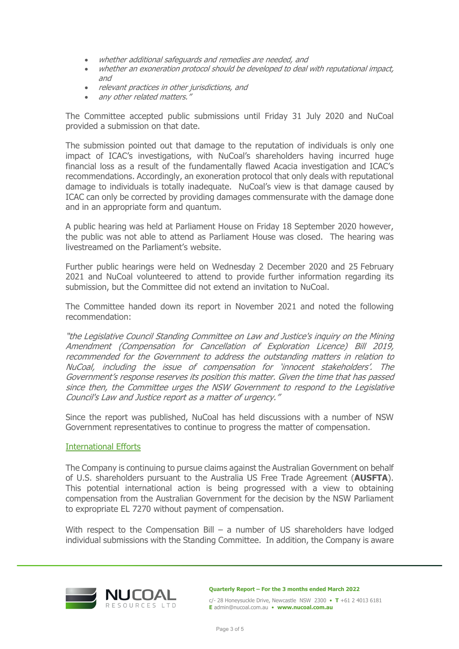- whether additional safeguards and remedies are needed, and
- whether an exoneration protocol should be developed to deal with reputational impact, and
- relevant practices in other jurisdictions, and
- any other related matters."

The Committee accepted public submissions until Friday 31 July 2020 and NuCoal provided a submission on that date.

The submission pointed out that damage to the reputation of individuals is only one impact of ICAC's investigations, with NuCoal's shareholders having incurred huge financial loss as a result of the fundamentally flawed Acacia investigation and ICAC's recommendations. Accordingly, an exoneration protocol that only deals with reputational damage to individuals is totally inadequate. NuCoal's view is that damage caused by ICAC can only be corrected by providing damages commensurate with the damage done and in an appropriate form and quantum.

A public hearing was held at Parliament House on Friday 18 September 2020 however, the public was not able to attend as Parliament House was closed. The hearing was livestreamed on the Parliament's website.

Further public hearings were held on Wednesday 2 December 2020 and 25 February 2021 and NuCoal volunteered to attend to provide further information regarding its submission, but the Committee did not extend an invitation to NuCoal.

The Committee handed down its report in November 2021 and noted the following recommendation:

"the Legislative Council Standing Committee on Law and Justice's inquiry on the Mining Amendment (Compensation for Cancellation of Exploration Licence) Bill 2019, recommended for the Government to address the outstanding matters in relation to NuCoal, including the issue of compensation for 'innocent stakeholders'. The Government's response reserves its position this matter. Given the time that has passed since then, the Committee urges the NSW Government to respond to the Legislative Council's Law and Justice report as a matter of urgency."

Since the report was published, NuCoal has held discussions with a number of NSW Government representatives to continue to progress the matter of compensation.

## International Efforts

The Company is continuing to pursue claims against the Australian Government on behalf of U.S. shareholders pursuant to the Australia US Free Trade Agreement (**AUSFTA**). This potential international action is being progressed with a view to obtaining compensation from the Australian Government for the decision by the NSW Parliament to expropriate EL 7270 without payment of compensation.

With respect to the Compensation Bill – a number of US shareholders have lodged individual submissions with the Standing Committee. In addition, the Company is aware



**Quarterly Report – For the 3 months ended March 2022**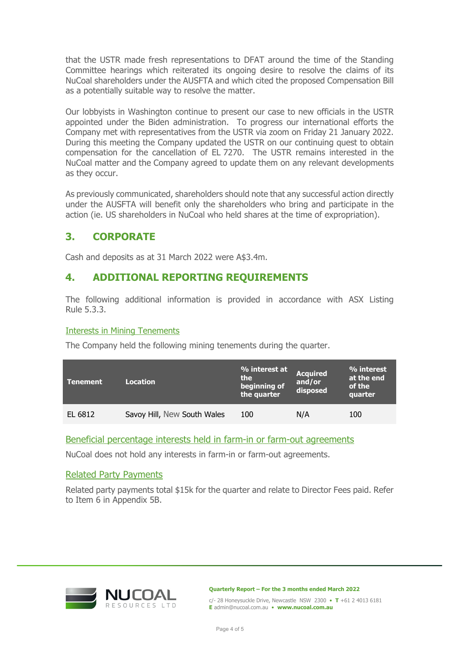that the USTR made fresh representations to DFAT around the time of the Standing Committee hearings which reiterated its ongoing desire to resolve the claims of its NuCoal shareholders under the AUSFTA and which cited the proposed Compensation Bill as a potentially suitable way to resolve the matter.

Our lobbyists in Washington continue to present our case to new officials in the USTR appointed under the Biden administration. To progress our international efforts the Company met with representatives from the USTR via zoom on Friday 21 January 2022. During this meeting the Company updated the USTR on our continuing quest to obtain compensation for the cancellation of EL 7270. The USTR remains interested in the NuCoal matter and the Company agreed to update them on any relevant developments as they occur.

As previously communicated, shareholders should note that any successful action directly under the AUSFTA will benefit only the shareholders who bring and participate in the action (ie. US shareholders in NuCoal who held shares at the time of expropriation).

## **3. CORPORATE**

Cash and deposits as at 31 March 2022 were A\$3.4m.

## **4. ADDITIONAL REPORTING REQUIREMENTS**

The following additional information is provided in accordance with ASX Listing Rule 5.3.3.

## Interests in Mining Tenements

The Company held the following mining tenements during the quarter.

| Tenement | <b>Location</b>             | % interest at<br>the<br>beginning of<br>the quarter | <b>Acquired</b><br>and/or<br>disposed | % interest<br>at the end<br>of the<br>quarter |
|----------|-----------------------------|-----------------------------------------------------|---------------------------------------|-----------------------------------------------|
| EL 6812  | Savoy Hill, New South Wales | 100                                                 | N/A                                   | 100                                           |

Beneficial percentage interests held in farm-in or farm-out agreements

NuCoal does not hold any interests in farm-in or farm-out agreements.

## Related Party Payments

Related party payments total \$15k for the quarter and relate to Director Fees paid. Refer to Item 6 in Appendix 5B.



**Quarterly Report – For the 3 months ended March 2022**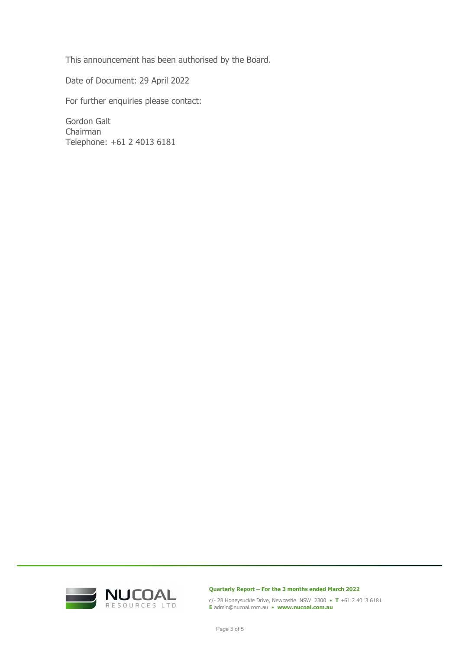This announcement has been authorised by the Board.

Date of Document: 29 April 2022

For further enquiries please contact:

Gordon Galt Chairman Telephone: +61 2 4013 6181



**Quarterly Report – For the 3 months ended March 2022**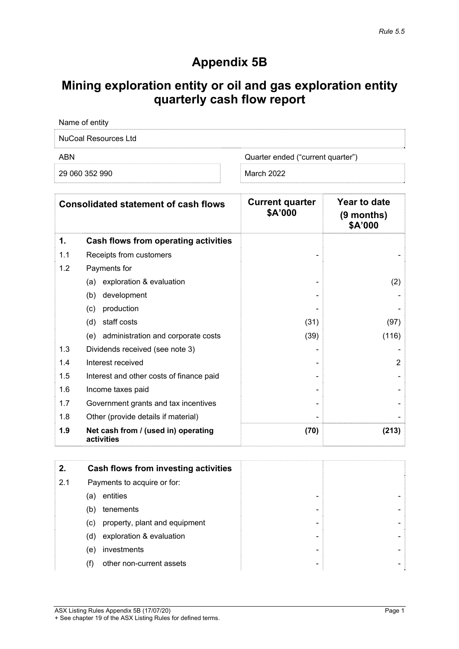## **Appendix 5B**

# **Mining exploration entity or oil and gas exploration entity quarterly cash flow report**

| Name of entity       |                                   |
|----------------------|-----------------------------------|
| NuCoal Resources Ltd |                                   |
| ARN                  | Quarter ended ("current quarter") |
| 29 060 352 990       | March 2022                        |

|     | <b>Consolidated statement of cash flows</b>       | <b>Current quarter</b><br>\$A'000 | Year to date<br>(9 months)<br>\$A'000 |
|-----|---------------------------------------------------|-----------------------------------|---------------------------------------|
| 1.  | Cash flows from operating activities              |                                   |                                       |
| 1.1 | Receipts from customers                           |                                   |                                       |
| 1.2 | Payments for                                      |                                   |                                       |
|     | (a) exploration & evaluation                      |                                   | (2)                                   |
|     | development<br>(b)                                |                                   |                                       |
|     | production<br>(c)                                 |                                   |                                       |
|     | (d)<br>staff costs                                | (31)                              | (97)                                  |
|     | (e) administration and corporate costs            | (39)                              | (116)                                 |
| 1.3 | Dividends received (see note 3)                   |                                   |                                       |
| 1.4 | Interest received                                 |                                   | $\overline{2}$                        |
| 1.5 | Interest and other costs of finance paid          |                                   |                                       |
| 1.6 | Income taxes paid                                 |                                   |                                       |
| 1.7 | Government grants and tax incentives              |                                   |                                       |
| 1.8 | Other (provide details if material)               |                                   |                                       |
| 1.9 | Net cash from / (used in) operating<br>activities | (70)                              | (213)                                 |

| 2.  | Cash flows from investing activities |  |
|-----|--------------------------------------|--|
| 2.1 | Payments to acquire or for:          |  |
|     | entities<br>(a)                      |  |
|     | tenements<br>(b)                     |  |
|     | property, plant and equipment<br>(c) |  |
|     | exploration & evaluation<br>(d)      |  |
|     | investments<br>(e)                   |  |
|     | other non-current assets<br>(f)      |  |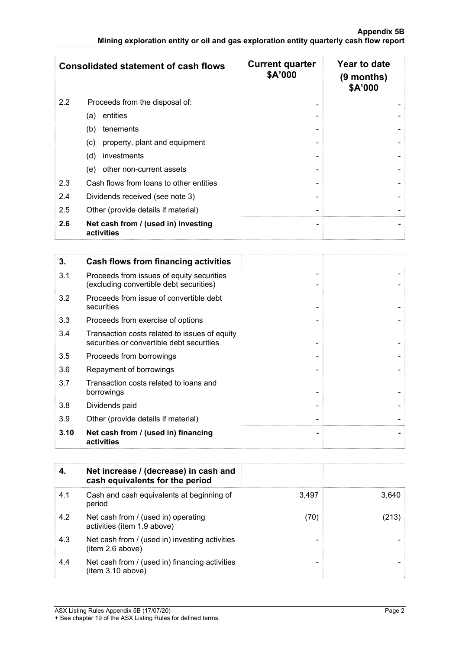|     | <b>Consolidated statement of cash flows</b>       | <b>Current quarter</b><br>\$A'000 | Year to date<br>(9 months)<br>\$A'000 |
|-----|---------------------------------------------------|-----------------------------------|---------------------------------------|
| 2.2 | Proceeds from the disposal of:                    |                                   |                                       |
|     | entities<br>(a)                                   |                                   |                                       |
|     | (b)<br>tenements                                  |                                   |                                       |
|     | property, plant and equipment<br>(c)              |                                   |                                       |
|     | (d)<br>investments                                |                                   |                                       |
|     | other non-current assets<br>(e)                   |                                   |                                       |
| 2.3 | Cash flows from loans to other entities           |                                   |                                       |
| 2.4 | Dividends received (see note 3)                   |                                   |                                       |
| 2.5 | Other (provide details if material)               |                                   |                                       |
| 2.6 | Net cash from / (used in) investing<br>activities | ۰                                 |                                       |

| 3.   | Cash flows from financing activities                                                       |  |
|------|--------------------------------------------------------------------------------------------|--|
| 3.1  | Proceeds from issues of equity securities<br>(excluding convertible debt securities)       |  |
| 3.2  | Proceeds from issue of convertible debt<br>securities                                      |  |
| 3.3  | Proceeds from exercise of options                                                          |  |
| 3.4  | Transaction costs related to issues of equity<br>securities or convertible debt securities |  |
| 3.5  | Proceeds from borrowings                                                                   |  |
| 3.6  | Repayment of borrowings                                                                    |  |
| 3.7  | Transaction costs related to loans and<br>borrowings                                       |  |
| 3.8  | Dividends paid                                                                             |  |
| 3.9  | Other (provide details if material)                                                        |  |
| 3.10 | Net cash from / (used in) financing<br>activities                                          |  |

|     | Net increase / (decrease) in cash and<br>cash equivalents for the period |       |       |
|-----|--------------------------------------------------------------------------|-------|-------|
| 4.1 | Cash and cash equivalents at beginning of<br>period                      | 3,497 | 3.640 |
| 4.2 | Net cash from / (used in) operating<br>activities (item 1.9 above)       | (70)  | (213) |
| 4.3 | Net cash from / (used in) investing activities<br>(item 2.6 above)       |       |       |
| 4.4 | Net cash from / (used in) financing activities<br>item 3.10 above)       |       |       |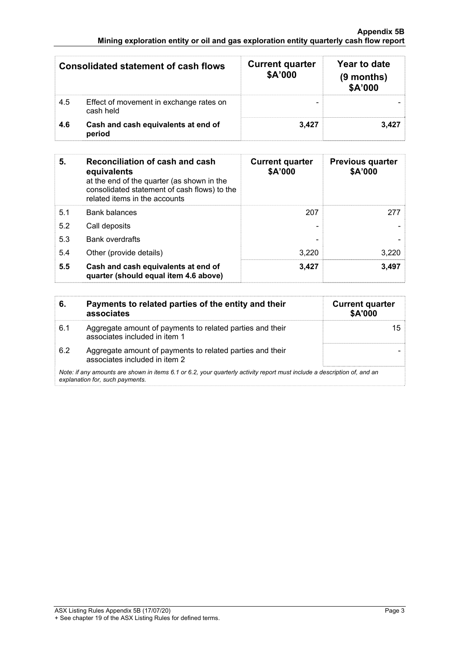|     | Consolidated statement of cash flows                 | <b>Current quarter</b><br>\$A'000 | Year to date<br>$(9$ months)<br>\$A'000 |
|-----|------------------------------------------------------|-----------------------------------|-----------------------------------------|
| 4.5 | Effect of movement in exchange rates on<br>cash held |                                   |                                         |
| 4.6 | Cash and cash equivalents at end of<br>period        | 3.427                             | 3.427                                   |

| 5.  | Reconciliation of cash and cash<br>equivalents<br>at the end of the quarter (as shown in the<br>consolidated statement of cash flows) to the<br>related items in the accounts | <b>Current quarter</b><br>\$A'000 | <b>Previous quarter</b><br>\$A'000 |
|-----|-------------------------------------------------------------------------------------------------------------------------------------------------------------------------------|-----------------------------------|------------------------------------|
| 5.1 | <b>Bank balances</b>                                                                                                                                                          | 207                               | 277                                |
| 5.2 | Call deposits                                                                                                                                                                 |                                   |                                    |
| 5.3 | <b>Bank overdrafts</b>                                                                                                                                                        |                                   |                                    |
| 5.4 | Other (provide details)                                                                                                                                                       | 3,220                             | 3,220                              |
| 5.5 | Cash and cash equivalents at end of<br>quarter (should equal item 4.6 above)                                                                                                  | 3,427                             | 3,497                              |

| 6.                                                                                                                                                          | Payments to related parties of the entity and their<br>associates                          | <b>Current quarter</b><br><b>\$A'000</b> |
|-------------------------------------------------------------------------------------------------------------------------------------------------------------|--------------------------------------------------------------------------------------------|------------------------------------------|
| 6.1                                                                                                                                                         | Aggregate amount of payments to related parties and their<br>associates included in item 1 | 15                                       |
| 6.2                                                                                                                                                         | Aggregate amount of payments to related parties and their<br>associates included in item 2 |                                          |
| Note: if any amounts are shown in items 6.1 or 6.2, your quarterly activity report must include a description of, and an<br>explanation for, such payments. |                                                                                            |                                          |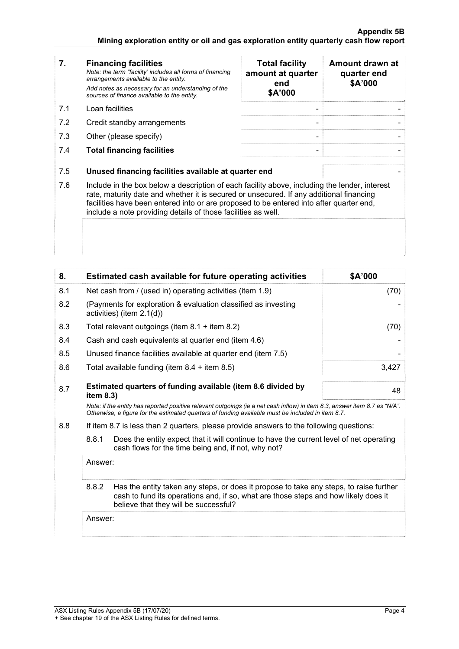#### **Appendix 5B Mining exploration entity or oil and gas exploration entity quarterly cash flow report**

| 7.  | <b>Financing facilities</b><br>Note: the term "facility' includes all forms of financing<br>arrangements available to the entity.<br>Add notes as necessary for an understanding of the<br>sources of finance available to the entity.                                                                                                               | <b>Total facility</b><br>amount at quarter<br>end<br>\$A'000 | Amount drawn at<br>quarter end<br>\$A'000 |
|-----|------------------------------------------------------------------------------------------------------------------------------------------------------------------------------------------------------------------------------------------------------------------------------------------------------------------------------------------------------|--------------------------------------------------------------|-------------------------------------------|
| 7.1 | Loan facilities                                                                                                                                                                                                                                                                                                                                      |                                                              |                                           |
| 7.2 | Credit standby arrangements                                                                                                                                                                                                                                                                                                                          |                                                              |                                           |
| 7.3 | Other (please specify)                                                                                                                                                                                                                                                                                                                               |                                                              |                                           |
| 7.4 | <b>Total financing facilities</b>                                                                                                                                                                                                                                                                                                                    |                                                              |                                           |
|     |                                                                                                                                                                                                                                                                                                                                                      |                                                              |                                           |
| 7.5 | Unused financing facilities available at quarter end                                                                                                                                                                                                                                                                                                 |                                                              |                                           |
| 7.6 | Include in the box below a description of each facility above, including the lender, interest<br>rate, maturity date and whether it is secured or unsecured. If any additional financing<br>facilities have been entered into or are proposed to be entered into after quarter end,<br>include a note providing details of those facilities as well. |                                                              |                                           |
|     |                                                                                                                                                                                                                                                                                                                                                      |                                                              |                                           |

| 8.  |                                                                                                                                                                                                                                 | Estimated cash available for future operating activities                                    | \$A'000 |
|-----|---------------------------------------------------------------------------------------------------------------------------------------------------------------------------------------------------------------------------------|---------------------------------------------------------------------------------------------|---------|
| 8.1 |                                                                                                                                                                                                                                 | Net cash from / (used in) operating activities (item 1.9)<br>(70)                           |         |
| 8.2 |                                                                                                                                                                                                                                 | (Payments for exploration & evaluation classified as investing<br>activities) (item 2.1(d)) |         |
| 8.3 | Total relevant outgoings (item $8.1 +$ item $8.2$ )                                                                                                                                                                             |                                                                                             | (70)    |
| 8.4 | Cash and cash equivalents at quarter end (item 4.6)                                                                                                                                                                             |                                                                                             |         |
| 8.5 |                                                                                                                                                                                                                                 | Unused finance facilities available at quarter end (item 7.5)                               |         |
| 8.6 | Total available funding (item $8.4 +$ item $8.5$ )                                                                                                                                                                              |                                                                                             | 3,427   |
| 8.7 | Estimated quarters of funding available (item 8.6 divided by<br>item 8.3)                                                                                                                                                       |                                                                                             | 48      |
|     | Note: if the entity has reported positive relevant outgoings (ie a net cash inflow) in item 8.3, answer item 8.7 as "N/A".<br>Otherwise, a figure for the estimated quarters of funding available must be included in item 8.7. |                                                                                             |         |
| 8.8 | If item 8.7 is less than 2 quarters, please provide answers to the following questions:                                                                                                                                         |                                                                                             |         |
|     | 8.8.1<br>Does the entity expect that it will continue to have the current level of net operating<br>cash flows for the time being and, if not, why not?                                                                         |                                                                                             |         |
|     | Answer:                                                                                                                                                                                                                         |                                                                                             |         |
|     | 8.8.2<br>Has the entity taken any steps, or does it propose to take any steps, to raise further<br>cash to fund its operations and, if so, what are those steps and how likely does it<br>believe that they will be successful? |                                                                                             |         |
|     | Answer:                                                                                                                                                                                                                         |                                                                                             |         |
|     |                                                                                                                                                                                                                                 |                                                                                             |         |